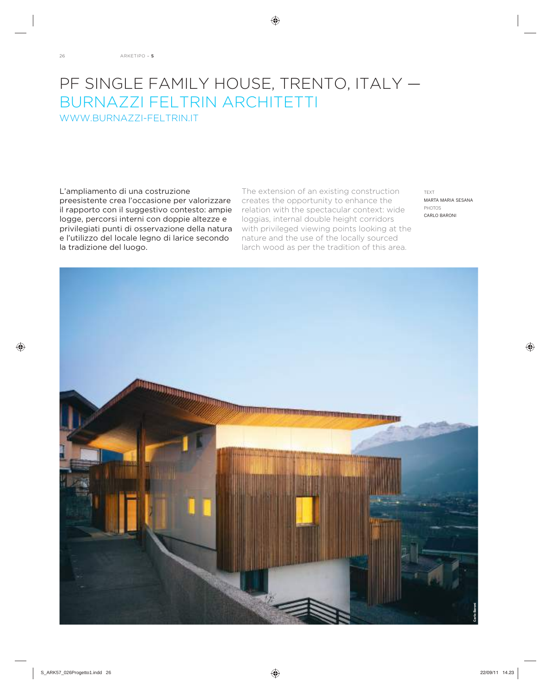## PF SINGLE FAMILY HOUSE, TRENTO, ITALY -BURNAZZI FELTRIN ARCHITETTI WWW.BURNAZZI-FELTRIN.IT

Líampliamento di una costruzione preesistente crea líoccasione per valorizzare il rapporto con il suggestivo contesto: ampie logge, percorsi interni con doppie altezze e privilegiati punti di osservazione della natura e líutilizzo del locale legno di larice secondo la tradizione del luogo.

The extension of an existing construction creates the opportunity to enhance the relation with the spectacular context: wide loggias, internal double height corridors with privileged viewing points looking at the nature and the use of the locally sourced larch wood as per the tradition of this area.

TEXT MARTA MARIA SESANA PHOTOS CARLO BARONI

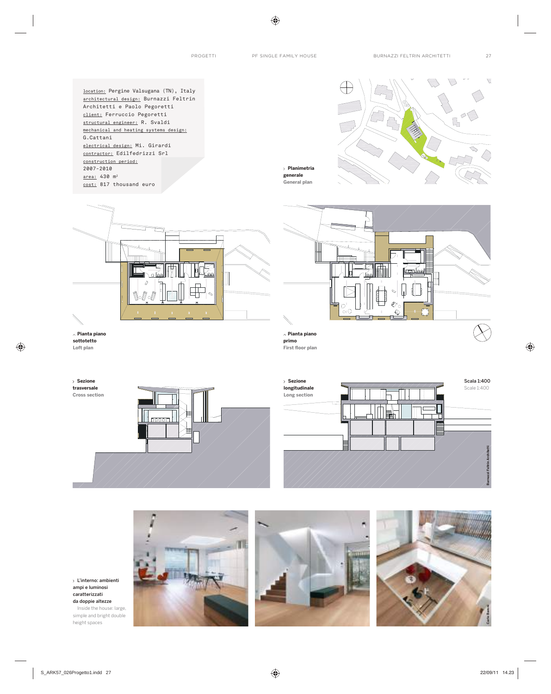location: Pergine Valsugana (TN), Italy architectural design: Burnazzi Feltrin Architetti e Paolo Pegoretti client: Ferruccio Pegoretti structural engineer: R. Svaldi mechanical and heating systems design: G.Cattani electrical design: Mi. Girardi contractor: Edilfedrizzi Srl construction period: 2007-2010 area: 430 m<sup>2</sup> cost: 817 thousand euro







**Pianta piano sottotetto Loft plan**

**Sezione trasversale**



 $\blacksquare$ ء ۾ آ  $\mathbb{C}$ € **Pianta piano primo First floor plan** 





L'interno: ambienti ampi e luminosi caratterizzati da doppie altezze Inside the house: large, simple and bright double height spaces



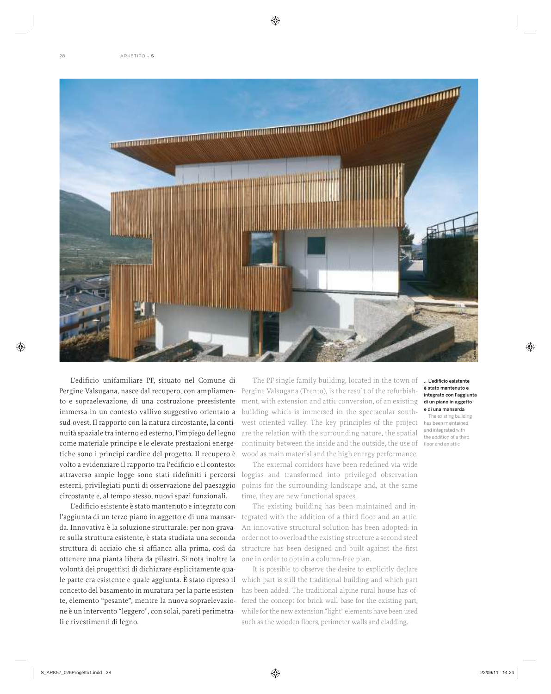

L'edificio unifamiliare PF, situato nel Comune di Pergine Valsugana, nasce dal recupero, con ampliamento e sopraelevazione, di una costruzione preesistente immersa in un contesto vallivo suggestivo orientato a sud-ovest. Il rapporto con la natura circostante, la continuità spaziale tra interno ed esterno, l'impiego del legno come materiale principe e le elevate prestazioni energetiche sono i principi cardine del progetto. Il recupero è volto a evidenziare il rapporto tra l'edificio e il contesto: esterni, privilegiati punti di osservazione del paesaggio circostante e, al tempo stesso, nuovi spazi funzionali.

L'edificio esistente è stato mantenuto e integrato con l'aggiunta di un terzo piano in aggetto e di una mansarda. Innovativa è la soluzione strutturale: per non gravare sulla struttura esistente, è stata studiata una seconda struttura di acciaio che si affianca alla prima, così da ottenere una pianta libera da pilastri. Si nota inoltre la volontà dei progettisti di dichiarare esplicitamente quale parte era esistente e quale aggiunta. È stato ripreso il concetto del basamento in muratura per la parte esistente, elemento "pesante", mentre la nuova sopraelevazione è un intervento "leggero", con solai, pareti perimetrali e rivestimenti di legno.

The PF single family building, located in the town of Pergine Valsugana (Trento), is the result of the refurbishment, with extension and attic conversion, of an existing building which is immersed in the spectacular southwest oriented valley. The key principles of the project are the relation with the surrounding nature, the spatial continuity between the inside and the outside, the use of floor and an attic wood as main material and the high energy performance.

attraverso ampie logge sono stati ridefiniti i percorsi loggias and transformed into privileged observation The external corridors have been redefined via wide points for the surrounding landscape and, at the same time, they are new functional spaces.

> The existing building has been maintained and integrated with the addition of a third floor and an attic. An innovative structural solution has been adopted: in order not to overload the existing structure a second steel structure has been designed and built against the first one in order to obtain a column-free plan.

> It is possible to observe the desire to explicitly declare which part is still the traditional building and which part has been added. The traditional alpine rural house has offered the concept for brick wall base for the existing part, while for the new extension "light" elements have been used such as the wooden floors, perimeter walls and cladding.

## L'edificio esistente è stato mantenuto e integrato con l'aggiunta di un piano in aggetto e di una mansarda

The existing building has been maintained and integrated with the addition of a third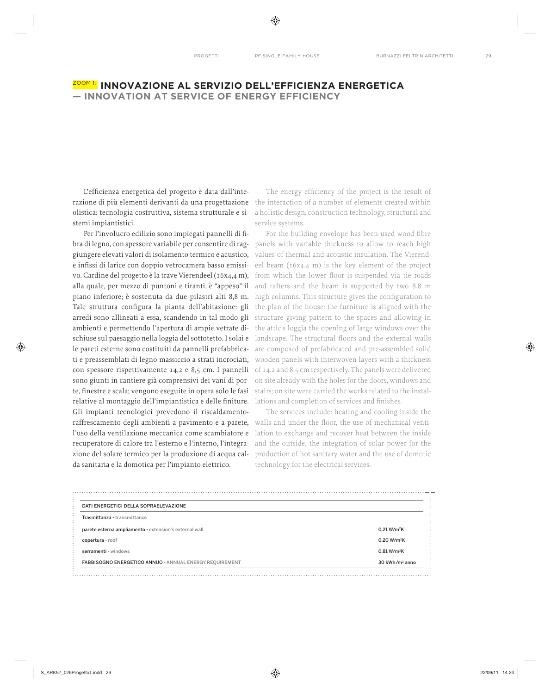## ZOOM 1: **INNOVAZIONE AL SERVIZIO DELLíEFFICIENZA ENERGETICA**  $-$  **INNOVATION AT SERVICE OF ENERGY EFFICIENCY**

L'efficienza energetica del progetto è data dall'intestemi impiantistici.

Per l'involucro edilizio sono impiegati pannelli di fibra di legno, con spessore variabile per consentire di rag- panels with variable thickness to allow to reach high giungere elevati valori di isolamento termico e acustico, e infissi di larice con doppio vetrocamera basso emissivo. Cardine del progetto è la trave Vierendeel (16x4,4 m), alla quale, per mezzo di puntoni e tiranti, è "appeso" il and rafters and the beam is supported by two 8.8 m piano inferiore; è sostenuta da due pilastri alti 8,8 m. high columns. This structure gives the configuration to Tale struttura configura la pianta dell'abitazione: gli the plan of the house: the furniture is aligned with the arredi sono allineati a essa, scandendo in tal modo gli structure giving pattern to the spaces and allowing in ambienti e permettendo l'apertura di ampie vetrate di- the attic's loggia the opening of large windows over the schiuse sul paesaggio nella loggia del sottotetto. I solai e landscape. The structural floors and the external walls le pareti esterne sono costituiti da pannelli prefabbrica- are composed of prefabricated and pre-assembled solid ti e preassemblati di legno massiccio a strati incrociati, wooden panels with interwoven layers with a thickness con spessore rispettivamente  $14,2$  e  $8,5$  cm. I pannelli of  $14.2$  and  $8.5$  cm respectively. The panels were delivered sono giunti in cantiere già comprensivi dei vani di porte, finestre e scala; vengono eseguite in opera solo le fasi stairs; on site were carried the works related to the instalrelative al montaggio dell'impiantistica e delle finiture. Iations and completion of services and finishes. Gli impianti tecnologici prevedono il riscaldamentoraffrescamento degli ambienti a pavimento e a parete, walls and under the floor, the use of mechanical ventil'uso della ventilazione meccanica come scambiatore e recuperatore di calore tra l'esterno e l'interno, l'integrazione del solare termico per la produzione di acqua calda sanitaria e la domotica per l'impianto elettrico.

razione di più elementi derivanti da una progettazione the interaction of a number of elements created within olistica: tecnologia costruttiva, sistema strutturale e si- a holistic design: construction technology, structural and The energy efficiency of the project is the result of service systems.

> For the building envelope has been used wood fibre values of thermal and acoustic insulation. The Vierendeel beam (16x4.4 m) is the key element of the project from which the lower floor is suspended via tie roads on site already with the holes for the doors, windows and

> The services include: heating and cooling inside the lation to exchange and recover heat between the inside and the outside, the integration of solar power for the production of hot sanitary water and the use of domotic technology for the electrical services.

| DATI ENERGETICI DELLA SOPRAELEVAZIONE                   |                            |
|---------------------------------------------------------|----------------------------|
| Trasmittanza - transmittance                            |                            |
| parete esterna ampliamento - extension's external wall  | 0.21 W/m <sup>2</sup> K    |
| copertura - roof                                        | 0.20 W/m <sup>2</sup> K    |
| serramenti - windows                                    | 0.81 W/m <sup>2</sup> K    |
| FABBISOGNO ENERGETICO ANNUO - ANNUAL ENERGY REQUIREMENT | 30 kWh/m <sup>2</sup> anno |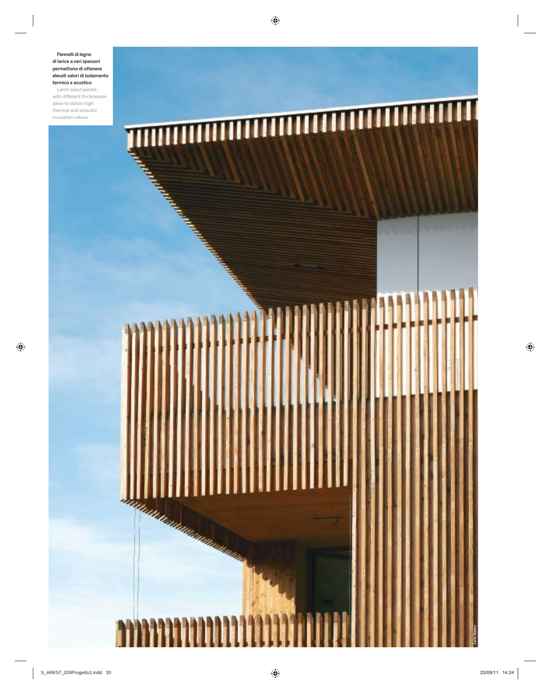Pannelli di legno di larice a vari spessori permettono di ottenere elevati valori di isolamento termico e acustico Larch wood panels

with different thicknesses allow to obtain high thermal and acoustic insulation values